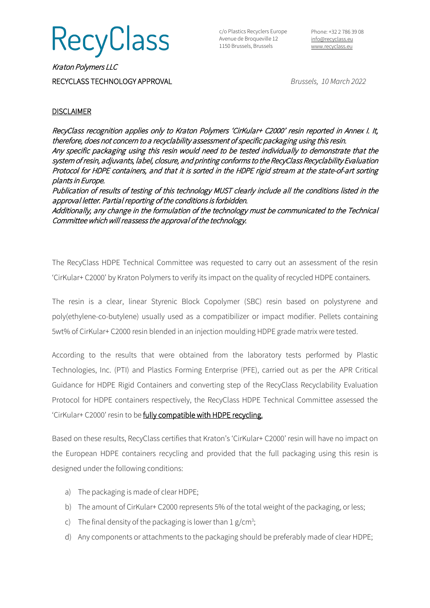

c/o Plastics Recyclers Europe Avenue de Broqueville 12 1150 Brussels, Brussels

Phone: +32 2 786 39 08 [info@recyclass.eu](mailto:info@recyclass.eu) [www.recyclass.eu](http://www.recyclass.eu/)

Kraton Polymers LLC RECYCLASS TECHNOLOGY APPROVAL *Brussels, 10 March 2022*

## **DISCLAIMER**

RecyClass recognition applies only to Kraton Polymers 'CirKular+ C2000' resin reported in Annex I. It, therefore, does not concern to a recyclability assessment of specific packaging using this resin. Any specific packaging using this resin would need to be tested individually to demonstrate that the system of resin, adjuvants, label, closure, and printing conforms to the RecyClass Recyclability Evaluation Protocol for HDPE containers, and that it is sorted in the HDPE rigid stream at the state-of-art sorting plants in Europe.

Publication of results of testing of this technology MUST clearly include all the conditions listed in the approval letter. Partial reporting of the conditions is forbidden.

Additionally, any change in the formulation of the technology must be communicated to the Technical Committee which will reassess the approval of the technology.

The RecyClass HDPE Technical Committee was requested to carry out an assessment of the resin 'CirKular+ C2000' by Kraton Polymers to verify its impact on the quality of recycled HDPE containers.

The resin is a clear, linear Styrenic Block Copolymer (SBC) resin based on polystyrene and poly(ethylene-co-butylene) usually used as a compatibilizer or impact modifier. Pellets containing 5wt% of CirKular+ C2000 resin blended in an injection moulding HDPE grade matrix were tested.

According to the results that were obtained from the laboratory tests performed by Plastic Technologies, Inc. (PTI) and Plastics Forming Enterprise (PFE), carried out as per the APR Critical Guidance for HDPE Rigid Containers and converting step of the RecyClass Recyclability Evaluation Protocol for HDPE containers respectively, the RecyClass HDPE Technical Committee assessed the 'CirKular+ C2000' resin to be fully compatible with HDPE recycling.

Based on these results, RecyClass certifies that Kraton's 'CirKular+ C2000' resin will have no impact on the European HDPE containers recycling and provided that the full packaging using this resin is designed under the following conditions:

- a) The packaging is made of clear HDPE;
- b) The amount of CirKular+ C2000 represents 5% of the total weight of the packaging, or less;
- c) The final density of the packaging is lower than  $1 g/cm^3$ ;
- d) Any components or attachments to the packaging should be preferably made of clear HDPE;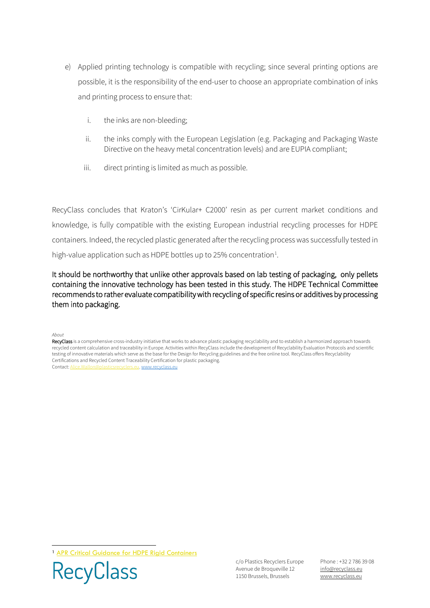- e) Applied printing technology is compatible with recycling; since several printing options are possible, it is the responsibility of the end-user to choose an appropriate combination of inks and printing process to ensure that:
	- i. the inks are non-bleeding;
	- ii. the inks comply with the European Legislation (e.g. Packaging and Packaging Waste Directive on the heavy metal concentration levels) and are EUPIA compliant;
	- iii. direct printing is limited as much as possible.

RecyClass concludes that Kraton's 'CirKular+ C2000' resin as per current market conditions and knowledge, is fully compatible with the existing European industrial recycling processes for HDPE containers. Indeed, the recycled plastic generated after the recycling process was successfully tested in high-value application such as HDPE bottles up to 25% concentration $<sup>1</sup>$  $<sup>1</sup>$  $<sup>1</sup>$ .</sup>

It should be northworthy that unlike other approvals based on lab testing of packaging, only pellets containing the innovative technology has been tested in this study. The HDPE Technical Committee recommends to rather evaluate compatibility with recycling of specific resins or additives by processing them into packaging.

*About*

RecyClass is a comprehensive cross-industry initiative that works to advance plastic packaging recyclability and to establish a harmonized approach towards recycled content calculation and traceability in Europe. Activities within RecyClass include the development of Recyclability Evaluation Protocols and scientific testing of innovative materials which serve as the base for the Design for Recycling guidelines and the free online tool. RecyClass offers Recyclability Certifications and Recycled Content Traceability Certification for plastic packaging.<br>Contact: Alice.Wallon@plasticsrecyclers.eu. www.recyclass.eu <u>plasticsrecyclers.eu, [www.recyclass.eu](http://www.recyclass.eu/)</u>

<span id="page-1-0"></span><sup>1</sup> [APR Critical Guidance for HDPE](https://plasticsrecycling.org/images/Design-Guidance-Tests/APR-PP-CG-01-critical-guidance.pdf) Rigid Containers



c/o Plastics Recyclers Europe Avenue de Broqueville 12 1150 Brussels, Brussels

Phone : +32 2 786 39 08 info[@recyclass.eu](mailto:recyclass@plasticsrecyclers.eu) www.recyclass.eu